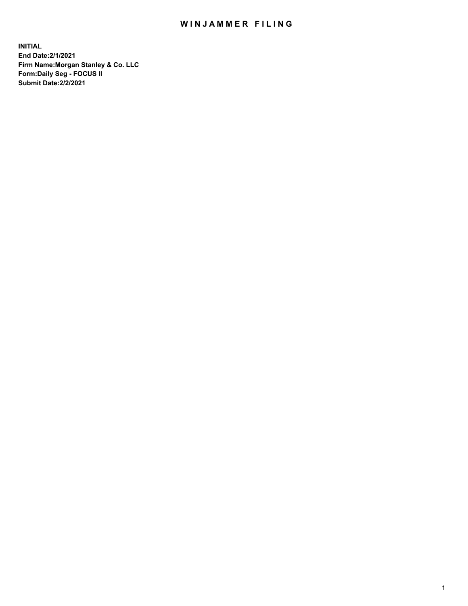## WIN JAMMER FILING

**INITIAL End Date:2/1/2021 Firm Name:Morgan Stanley & Co. LLC Form:Daily Seg - FOCUS II Submit Date:2/2/2021**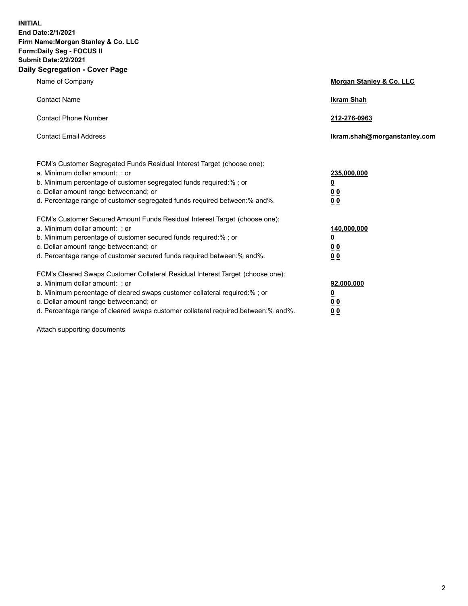**INITIAL End Date:2/1/2021 Firm Name:Morgan Stanley & Co. LLC Form:Daily Seg - FOCUS II Submit Date:2/2/2021 Daily Segregation - Cover Page**

| Name of Company                                                                                          | Morgan Stanley & Co. LLC     |
|----------------------------------------------------------------------------------------------------------|------------------------------|
| <b>Contact Name</b>                                                                                      | <b>Ikram Shah</b>            |
| <b>Contact Phone Number</b>                                                                              | 212-276-0963                 |
| <b>Contact Email Address</b>                                                                             | Ikram.shah@morganstanley.com |
|                                                                                                          |                              |
| FCM's Customer Segregated Funds Residual Interest Target (choose one):<br>a. Minimum dollar amount: ; or | 235,000,000                  |
| b. Minimum percentage of customer segregated funds required:% ; or                                       | <u>0</u>                     |
| c. Dollar amount range between: and; or                                                                  | <u>00</u>                    |
| d. Percentage range of customer segregated funds required between: % and %.                              | 0 <sup>0</sup>               |
| FCM's Customer Secured Amount Funds Residual Interest Target (choose one):                               |                              |
| a. Minimum dollar amount: ; or                                                                           | 140,000,000                  |
| b. Minimum percentage of customer secured funds required:%; or                                           | <u>0</u>                     |
| c. Dollar amount range between: and; or                                                                  | <u>0 0</u>                   |
| d. Percentage range of customer secured funds required between:% and%.                                   | 0 Q                          |
| FCM's Cleared Swaps Customer Collateral Residual Interest Target (choose one):                           |                              |
| a. Minimum dollar amount: ; or                                                                           | 92,000,000                   |
| b. Minimum percentage of cleared swaps customer collateral required:% ; or                               | <u>0</u>                     |
| c. Dollar amount range between: and; or                                                                  | 0 Q                          |
| d. Percentage range of cleared swaps customer collateral required between:% and%.                        | 0 <sub>0</sub>               |

Attach supporting documents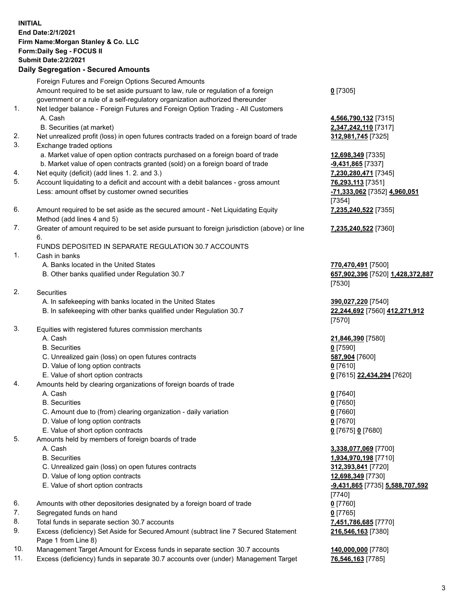## **INITIAL End Date:2/1/2021 Firm Name:Morgan Stanley & Co. LLC Form:Daily Seg - FOCUS II Submit Date:2/2/2021 Daily Segregation - Secured Amounts** Foreign Futures and Foreign Options Secured Amounts Amount required to be set aside pursuant to law, rule or regulation of a foreign government or a rule of a self-regulatory organization authorized thereunder 1. Net ledger balance - Foreign Futures and Foreign Option Trading - All Customers A. Cash **4,566,790,132** [7315] B. Securities (at market) **2,347,242,110** [7317] 2. Net unrealized profit (loss) in open futures contracts traded on a foreign board of trade **312,981,745** [7325] 3. Exchange traded options a. Market value of open option contracts purchased on a foreign board of trade **12,698,349** [7335] b. Market value of open contracts granted (sold) on a foreign board of trade **-9,431,865** [7337] 4. Net equity (deficit) (add lines 1. 2. and 3.) **7,230,280,471** [7345] 5. Account liquidating to a deficit and account with a debit balances - gross amount **76,293,113** [7351] Less: amount offset by customer owned securities **-71,333,062** [7352] **4,960,051** 6. Amount required to be set aside as the secured amount - Net Liquidating Equity Method (add lines 4 and 5) 7. Greater of amount required to be set aside pursuant to foreign jurisdiction (above) or line 6. FUNDS DEPOSITED IN SEPARATE REGULATION 30.7 ACCOUNTS 1. Cash in banks A. Banks located in the United States **770,470,491** [7500] B. Other banks qualified under Regulation 30.7 **657,902,396** [7520] **1,428,372,887** 2. Securities A. In safekeeping with banks located in the United States **390,027,220** [7540] B. In safekeeping with other banks qualified under Regulation 30.7 **22,244,692** [7560] **412,271,912** 3. Equities with registered futures commission merchants A. Cash **21,846,390** [7580] B. Securities **0** [7590] C. Unrealized gain (loss) on open futures contracts **587,904** [7600] D. Value of long option contracts **0** [7610] E. Value of short option contracts **0** [7615] **22,434,294** [7620] 4. Amounts held by clearing organizations of foreign boards of trade A. Cash **0** [7640] B. Securities **0** [7650] C. Amount due to (from) clearing organization - daily variation **0** [7660] D. Value of long option contracts **0** [7670] E. Value of short option contracts **0** [7675] **0** [7680] 5. Amounts held by members of foreign boards of trade A. Cash **3,338,077,069** [7700] B. Securities **1,934,970,198** [7710] C. Unrealized gain (loss) on open futures contracts **312,393,841** [7720] D. Value of long option contracts **12,698,349** [7730] E. Value of short option contracts **-9,431,865** [7735] **5,588,707,592** 6. Amounts with other depositories designated by a foreign board of trade **0** [7760] 7. Segregated funds on hand **0** [7765]

- 
- 8. Total funds in separate section 30.7 accounts **7,451,786,685** [7770]
- 9. Excess (deficiency) Set Aside for Secured Amount (subtract line 7 Secured Statement Page 1 from Line 8)
- 10. Management Target Amount for Excess funds in separate section 30.7 accounts **140,000,000** [7780]
- 11. Excess (deficiency) funds in separate 30.7 accounts over (under) Management Target **76,546,163** [7785]

**0** [7305]

[7354] **7,235,240,522** [7355]

**7,235,240,522** [7360]

[7530]

[7570]

[7740] **216,546,163** [7380]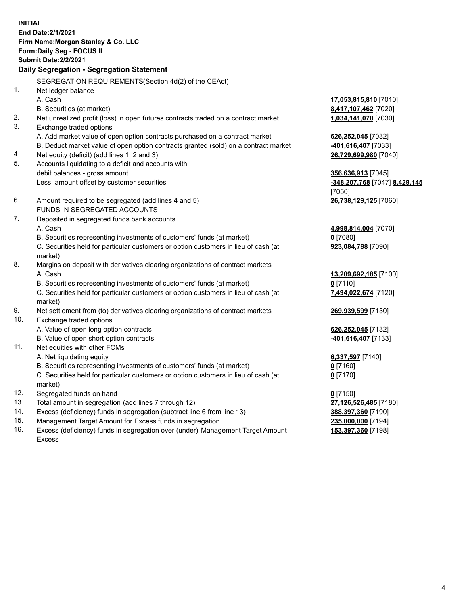**INITIAL End Date:2/1/2021 Firm Name:Morgan Stanley & Co. LLC Form:Daily Seg - FOCUS II Submit Date:2/2/2021 Daily Segregation - Segregation Statement** SEGREGATION REQUIREMENTS(Section 4d(2) of the CEAct) 1. Net ledger balance A. Cash **17,053,815,810** [7010] B. Securities (at market) **8,417,107,462** [7020] 2. Net unrealized profit (loss) in open futures contracts traded on a contract market **1,034,141,070** [7030] 3. Exchange traded options A. Add market value of open option contracts purchased on a contract market **626,252,045** [7032] B. Deduct market value of open option contracts granted (sold) on a contract market **-401,616,407** [7033] 4. Net equity (deficit) (add lines 1, 2 and 3) **26,729,699,980** [7040] 5. Accounts liquidating to a deficit and accounts with debit balances - gross amount **356,636,913** [7045] Less: amount offset by customer securities **-348,207,768** [7047] **8,429,145** [7050] 6. Amount required to be segregated (add lines 4 and 5) **26,738,129,125** [7060] FUNDS IN SEGREGATED ACCOUNTS 7. Deposited in segregated funds bank accounts A. Cash **4,998,814,004** [7070] B. Securities representing investments of customers' funds (at market) **0** [7080] C. Securities held for particular customers or option customers in lieu of cash (at market) **923,084,788** [7090] 8. Margins on deposit with derivatives clearing organizations of contract markets A. Cash **13,209,692,185** [7100] B. Securities representing investments of customers' funds (at market) **0** [7110] C. Securities held for particular customers or option customers in lieu of cash (at market) **7,494,022,674** [7120] 9. Net settlement from (to) derivatives clearing organizations of contract markets **269,939,599** [7130] 10. Exchange traded options A. Value of open long option contracts **626,252,045** [7132] B. Value of open short option contracts **-401,616,407** [7133] 11. Net equities with other FCMs A. Net liquidating equity **6,337,597** [7140] B. Securities representing investments of customers' funds (at market) **0** [7160] C. Securities held for particular customers or option customers in lieu of cash (at market) **0** [7170] 12. Segregated funds on hand **0** [7150] 13. Total amount in segregation (add lines 7 through 12) **27,126,526,485** [7180] 14. Excess (deficiency) funds in segregation (subtract line 6 from line 13) **388,397,360** [7190]

- 15. Management Target Amount for Excess funds in segregation **235,000,000** [7194]
- 16. Excess (deficiency) funds in segregation over (under) Management Target Amount Excess

**153,397,360** [7198]